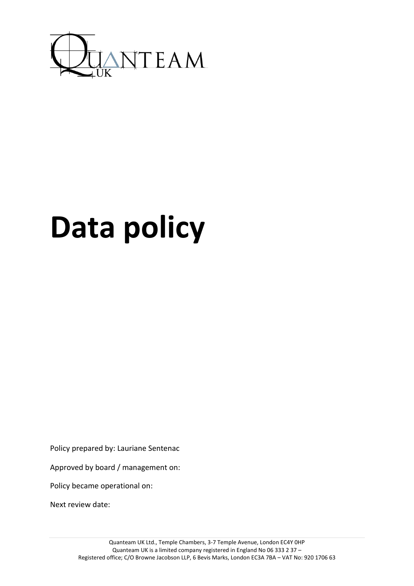

# **Data policy**

Policy prepared by: Lauriane Sentenac

Approved by board / management on:

Policy became operational on:

Next review date: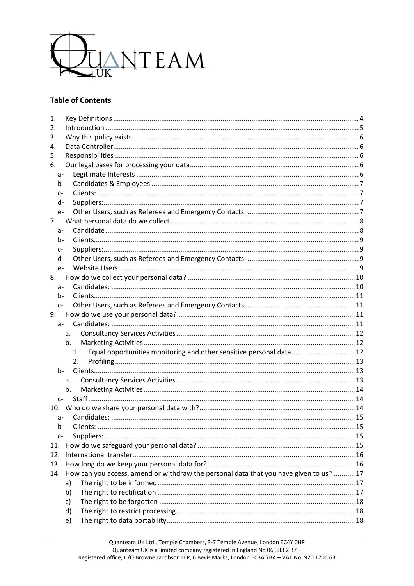

## **Table of Contents**

| 1.    |                                                                                       |  |  |  |
|-------|---------------------------------------------------------------------------------------|--|--|--|
| 2.    |                                                                                       |  |  |  |
| 3.    |                                                                                       |  |  |  |
| 4.    |                                                                                       |  |  |  |
| 5.    |                                                                                       |  |  |  |
| 6.    |                                                                                       |  |  |  |
| $a-$  |                                                                                       |  |  |  |
| b-    |                                                                                       |  |  |  |
| $C-$  |                                                                                       |  |  |  |
| d-    |                                                                                       |  |  |  |
| $e-$  |                                                                                       |  |  |  |
| 7.    |                                                                                       |  |  |  |
| а-    |                                                                                       |  |  |  |
| b-    |                                                                                       |  |  |  |
| $C-$  |                                                                                       |  |  |  |
| d-    |                                                                                       |  |  |  |
| $e-$  |                                                                                       |  |  |  |
| 8.    |                                                                                       |  |  |  |
| $a-$  |                                                                                       |  |  |  |
| $b-$  |                                                                                       |  |  |  |
| $C-$  |                                                                                       |  |  |  |
| 9.    |                                                                                       |  |  |  |
| a-    |                                                                                       |  |  |  |
|       | a.                                                                                    |  |  |  |
|       | b.                                                                                    |  |  |  |
|       | Equal opportunities monitoring and other sensitive personal data 12<br>1.             |  |  |  |
|       | 2.                                                                                    |  |  |  |
| b-    |                                                                                       |  |  |  |
|       | a.                                                                                    |  |  |  |
|       | b.                                                                                    |  |  |  |
| $C-$  |                                                                                       |  |  |  |
|       |                                                                                       |  |  |  |
| а-    |                                                                                       |  |  |  |
| $D -$ |                                                                                       |  |  |  |
| $C-$  |                                                                                       |  |  |  |
| 11.   |                                                                                       |  |  |  |
| 12.   |                                                                                       |  |  |  |
| 13.   |                                                                                       |  |  |  |
| 14.   | How can you access, amend or withdraw the personal data that you have given to us? 17 |  |  |  |
|       | a)                                                                                    |  |  |  |
|       | b)                                                                                    |  |  |  |
|       | c)                                                                                    |  |  |  |
|       | d)                                                                                    |  |  |  |
|       | e)                                                                                    |  |  |  |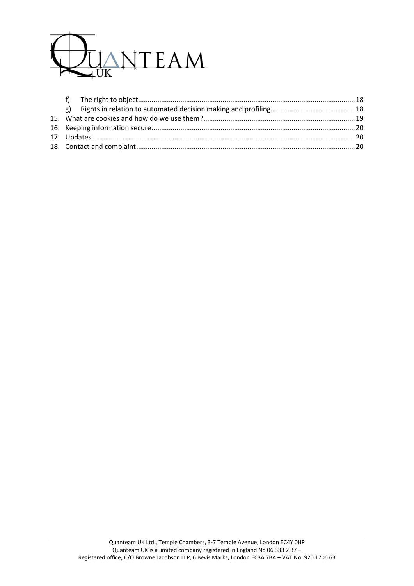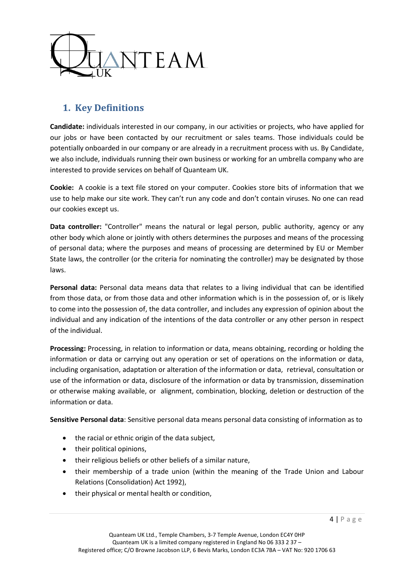

# <span id="page-3-0"></span>**1. Key Definitions**

**Candidate:** individuals interested in our company, in our activities or projects, who have applied for our jobs or have been contacted by our recruitment or sales teams. Those individuals could be potentially onboarded in our company or are already in a recruitment process with us. By Candidate, we also include, individuals running their own business or working for an umbrella company who are interested to provide services on behalf of Quanteam UK.

**Cookie:** A cookie is a text file stored on your computer. Cookies store bits of information that we use to help make our site work. They can't run any code and don't contain viruses. No one can read our cookies except us.

**Data controller:** "Controller" means the natural or legal person, public authority, agency or any other body which alone or jointly with others determines the purposes and means of the processing of personal data; where the purposes and means of processing are determined by EU or Member State laws, the controller (or the criteria for nominating the controller) may be designated by those laws.

**Personal data:** Personal data means data that relates to a living individual that can be identified from those data, or from those data and other information which is in the possession of, or is likely to come into the possession of, the data controller, and includes any expression of opinion about the individual and any indication of the intentions of the data controller or any other person in respect of the individual.

**Processing:** Processing, in relation to information or data, means obtaining, recording or holding the information or data or carrying out any operation or set of operations on the information or data, including organisation, adaptation or alteration of the information or data, retrieval, consultation or use of the information or data, disclosure of the information or data by transmission, dissemination or otherwise making available, or alignment, combination, blocking, deletion or destruction of the information or data.

**Sensitive Personal data**: Sensitive personal data means personal data consisting of information as to

- the racial or ethnic origin of the data subject,
- their political opinions,
- their religious beliefs or other beliefs of a similar nature,
- their membership of a trade union (within the meaning of the Trade Union and Labour Relations (Consolidation) Act 1992),
- their physical or mental health or condition,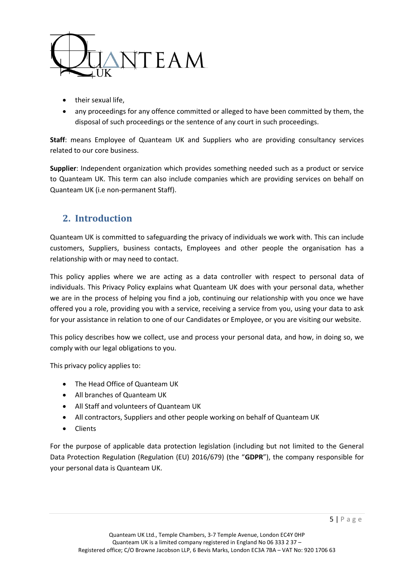

- their sexual life,
- any proceedings for any offence committed or alleged to have been committed by them, the disposal of such proceedings or the sentence of any court in such proceedings.

**Staff**: means Employee of Quanteam UK and Suppliers who are providing consultancy services related to our core business.

**Supplier**: Independent organization which provides something needed such as a product or service to Quanteam UK. This term can also include companies which are providing services on behalf on Quanteam UK (i.e non-permanent Staff).

# <span id="page-4-0"></span>**2. Introduction**

Quanteam UK is committed to safeguarding the privacy of individuals we work with. This can include customers, Suppliers, business contacts, Employees and other people the organisation has a relationship with or may need to contact.

This policy applies where we are acting as a data controller with respect to personal data of individuals. This Privacy Policy explains what Quanteam UK does with your personal data, whether we are in the process of helping you find a job, continuing our relationship with you once we have offered you a role, providing you with a service, receiving a service from you, using your data to ask for your assistance in relation to one of our Candidates or Employee, or you are visiting our website.

This policy describes how we collect, use and process your personal data, and how, in doing so, we comply with our legal obligations to you.

This privacy policy applies to:

- The Head Office of Quanteam UK
- All branches of Quanteam UK
- All Staff and volunteers of Quanteam UK
- All contractors, Suppliers and other people working on behalf of Quanteam UK
- Clients

For the purpose of applicable data protection legislation (including but not limited to the General Data Protection Regulation (Regulation (EU) 2016/679) (the "**GDPR**"), the company responsible for your personal data is Quanteam UK.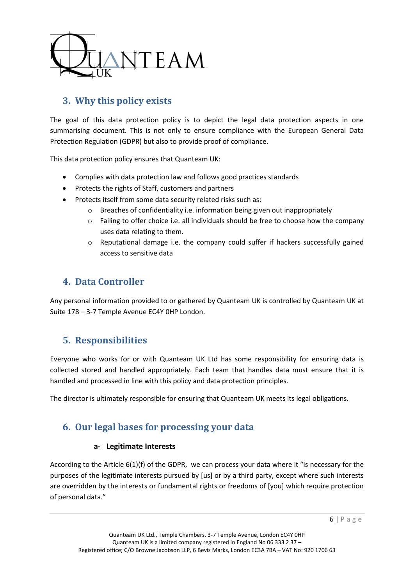

# <span id="page-5-0"></span>**3. Why this policy exists**

The goal of this data protection policy is to depict the legal data protection aspects in one summarising document. This is not only to ensure compliance with the European General Data Protection Regulation (GDPR) but also to provide proof of compliance.

This data protection policy ensures that Quanteam UK:

- Complies with data protection law and follows good practices standards
- Protects the rights of Staff, customers and partners
- Protects itself from some data security related risks such as:
	- $\circ$  Breaches of confidentiality i.e. information being given out inappropriately
	- o Failing to offer choice i.e. all individuals should be free to choose how the company uses data relating to them.
	- $\circ$  Reputational damage i.e. the company could suffer if hackers successfully gained access to sensitive data

# <span id="page-5-1"></span>**4. Data Controller**

Any personal information provided to or gathered by Quanteam UK is controlled by Quanteam UK at Suite 178 – 3-7 Temple Avenue EC4Y 0HP London.

## <span id="page-5-2"></span>**5. Responsibilities**

Everyone who works for or with Quanteam UK Ltd has some responsibility for ensuring data is collected stored and handled appropriately. Each team that handles data must ensure that it is handled and processed in line with this policy and data protection principles.

<span id="page-5-3"></span>The director is ultimately responsible for ensuring that Quanteam UK meets its legal obligations.

# <span id="page-5-4"></span>**6. Our legal bases for processing your data**

## **a- Legitimate Interests**

According to the Article 6(1)(f) of the GDPR, we can process your data where it "is necessary for the purposes of the legitimate interests pursued by [us] or by a third party, except where such interests are overridden by the interests or fundamental rights or freedoms of [you] which require protection of personal data."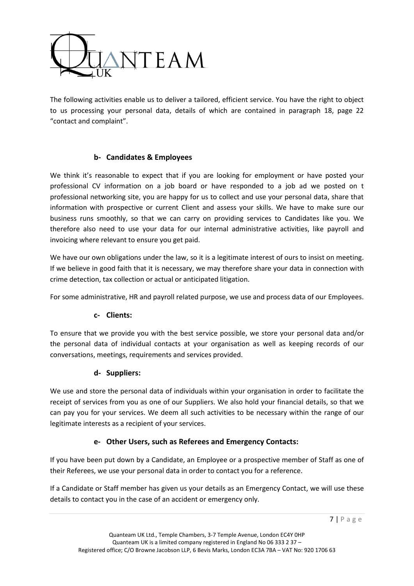

The following activities enable us to deliver a tailored, efficient service. You have the right to object to us processing your personal data, details of which are contained in paragraph 18, page 22 "contact and complaint".

## **b- Candidates & Employees**

<span id="page-6-0"></span>We think it's reasonable to expect that if you are looking for employment or have posted your professional CV information on a job board or have responded to a job ad we posted on t professional networking site, you are happy for us to collect and use your personal data, share that information with prospective or current Client and assess your skills. We have to make sure our business runs smoothly, so that we can carry on providing services to Candidates like you. We therefore also need to use your data for our internal administrative activities, like payroll and invoicing where relevant to ensure you get paid.

We have our own obligations under the law, so it is a legitimate interest of ours to insist on meeting. If we believe in good faith that it is necessary, we may therefore share your data in connection with crime detection, tax collection or actual or anticipated litigation.

<span id="page-6-1"></span>For some administrative, HR and payroll related purpose, we use and process data of our Employees.

## **c- Clients:**

To ensure that we provide you with the best service possible, we store your personal data and/or the personal data of individual contacts at your organisation as well as keeping records of our conversations, meetings, requirements and services provided.

## **d- Suppliers:**

<span id="page-6-2"></span>We use and store the personal data of individuals within your organisation in order to facilitate the receipt of services from you as one of our Suppliers. We also hold your financial details, so that we can pay you for your services. We deem all such activities to be necessary within the range of our legitimate interests as a recipient of your services.

## **e- Other Users, such as Referees and Emergency Contacts:**

<span id="page-6-3"></span>If you have been put down by a Candidate, an Employee or a prospective member of Staff as one of their Referees, we use your personal data in order to contact you for a reference.

If a Candidate or Staff member has given us your details as an Emergency Contact, we will use these details to contact you in the case of an accident or emergency only.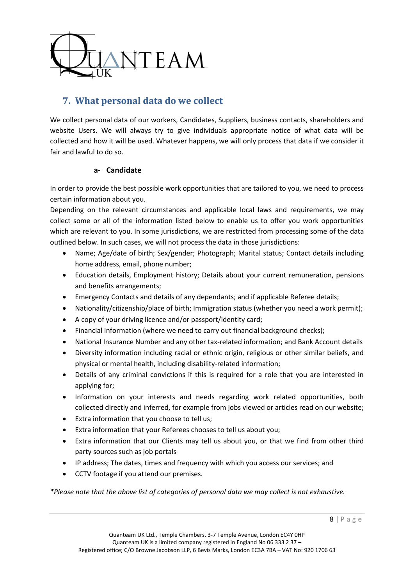

# <span id="page-7-0"></span>**7. What personal data do we collect**

We collect personal data of our workers, Candidates, Suppliers, business contacts, shareholders and website Users. We will always try to give individuals appropriate notice of what data will be collected and how it will be used. Whatever happens, we will only process that data if we consider it fair and lawful to do so.

## **a- Candidate**

<span id="page-7-1"></span>In order to provide the best possible work opportunities that are tailored to you, we need to process certain information about you.

Depending on the relevant circumstances and applicable local laws and requirements, we may collect some or all of the information listed below to enable us to offer you work opportunities which are relevant to you. In some jurisdictions, we are restricted from processing some of the data outlined below. In such cases, we will not process the data in those jurisdictions:

- Name; Age/date of birth; Sex/gender; Photograph; Marital status; Contact details including home address, email, phone number;
- Education details, Employment history; Details about your current remuneration, pensions and benefits arrangements;
- Emergency Contacts and details of any dependants; and if applicable Referee details;
- Nationality/citizenship/place of birth; Immigration status (whether you need a work permit);
- A copy of your driving licence and/or passport/identity card;
- Financial information (where we need to carry out financial background checks);
- National Insurance Number and any other tax-related information; and Bank Account details
- Diversity information including racial or ethnic origin, religious or other similar beliefs, and physical or mental health, including disability-related information;
- Details of any criminal convictions if this is required for a role that you are interested in applying for;
- Information on your interests and needs regarding work related opportunities, both collected directly and inferred, for example from jobs viewed or articles read on our website;
- Extra information that you choose to tell us;
- Extra information that your Referees chooses to tell us about you;
- Extra information that our Clients may tell us about you, or that we find from other third party sources such as job portals
- IP address; The dates, times and frequency with which you access our services; and
- CCTV footage if you attend our premises.

*\*Please note that the above list of categories of personal data we may collect is not exhaustive.*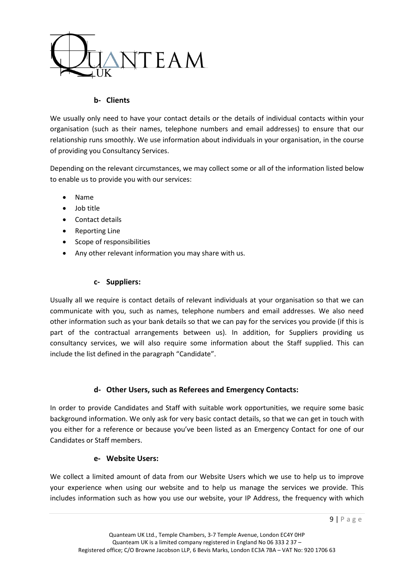

## **b- Clients**

<span id="page-8-0"></span>We usually only need to have your contact details or the details of individual contacts within your organisation (such as their names, telephone numbers and email addresses) to ensure that our relationship runs smoothly. We use information about individuals in your organisation, in the course of providing you Consultancy Services.

Depending on the relevant circumstances, we may collect some or all of the information listed below to enable us to provide you with our services:

- Name
- Job title
- Contact details
- Reporting Line
- Scope of responsibilities
- <span id="page-8-1"></span>Any other relevant information you may share with us.

## **c- Suppliers:**

Usually all we require is contact details of relevant individuals at your organisation so that we can communicate with you, such as names, telephone numbers and email addresses. We also need other information such as your bank details so that we can pay for the services you provide (if this is part of the contractual arrangements between us). In addition, for Suppliers providing us consultancy services, we will also require some information about the Staff supplied. This can include the list defined in the paragraph "Candidate".

## **d- Other Users, such as Referees and Emergency Contacts:**

<span id="page-8-2"></span>In order to provide Candidates and Staff with suitable work opportunities, we require some basic background information. We only ask for very basic contact details, so that we can get in touch with you either for a reference or because you've been listed as an Emergency Contact for one of our Candidates or Staff members.

## **e- Website Users:**

<span id="page-8-3"></span>We collect a limited amount of data from our Website Users which we use to help us to improve your experience when using our website and to help us manage the services we provide. This includes information such as how you use our website, your IP Address, the frequency with which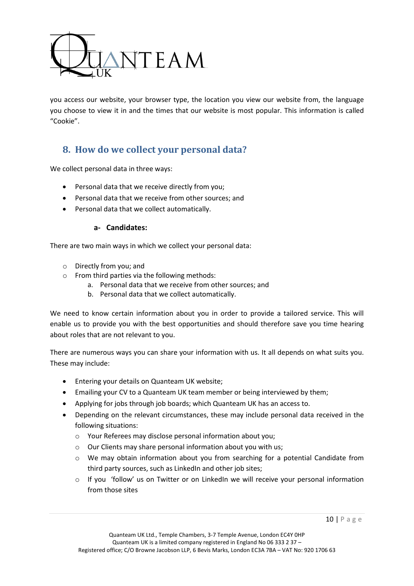

you access our website, your browser type, the location you view our website from, the language you choose to view it in and the times that our website is most popular. This information is called "Cookie".

## <span id="page-9-0"></span>**8. How do we collect your personal data?**

We collect personal data in three ways:

- Personal data that we receive directly from you;
- Personal data that we receive from other sources; and
- <span id="page-9-1"></span>Personal data that we collect automatically.

## **a- Candidates:**

There are two main ways in which we collect your personal data:

- o Directly from you; and
- o From third parties via the following methods:
	- a. Personal data that we receive from other sources; and
	- b. Personal data that we collect automatically.

We need to know certain information about you in order to provide a tailored service. This will enable us to provide you with the best opportunities and should therefore save you time hearing about roles that are not relevant to you.

There are numerous ways you can share your information with us. It all depends on what suits you. These may include:

- **•** Entering your details on Quanteam UK website;
- Emailing your CV to a Quanteam UK team member or being interviewed by them;
- Applying for jobs through job boards; which Quanteam UK has an access to.
- Depending on the relevant circumstances, these may include personal data received in the following situations:
	- o Your Referees may disclose personal information about you;
	- o Our Clients may share personal information about you with us;
	- o We may obtain information about you from searching for a potential Candidate from third party sources, such as LinkedIn and other job sites;
	- $\circ$  If you 'follow' us on Twitter or on LinkedIn we will receive your personal information from those sites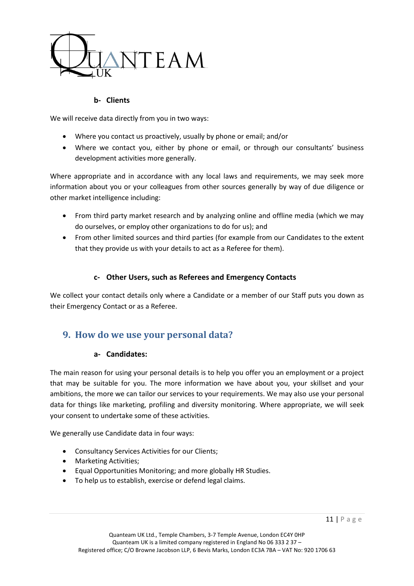

## **b- Clients**

<span id="page-10-0"></span>We will receive data directly from you in two ways:

- Where you contact us proactively, usually by phone or email; and/or
- Where we contact you, either by phone or email, or through our consultants' business development activities more generally.

Where appropriate and in accordance with any local laws and requirements, we may seek more information about you or your colleagues from other sources generally by way of due diligence or other market intelligence including:

- From third party market research and by analyzing online and offline media (which we may do ourselves, or employ other organizations to do for us); and
- From other limited sources and third parties (for example from our Candidates to the extent that they provide us with your details to act as a Referee for them).

## **c- Other Users, such as Referees and Emergency Contacts**

<span id="page-10-1"></span>We collect your contact details only where a Candidate or a member of our Staff puts you down as their Emergency Contact or as a Referee.

## <span id="page-10-3"></span><span id="page-10-2"></span>**9. How do we use your personal data?**

## **a- Candidates:**

The main reason for using your personal details is to help you offer you an employment or a project that may be suitable for you. The more information we have about you, your skillset and your ambitions, the more we can tailor our services to your requirements. We may also use your personal data for things like marketing, profiling and diversity monitoring. Where appropriate, we will seek your consent to undertake some of these activities.

We generally use Candidate data in four ways:

- Consultancy Services Activities for our Clients;
- Marketing Activities:
- Equal Opportunities Monitoring; and more globally HR Studies.
- To help us to establish, exercise or defend legal claims.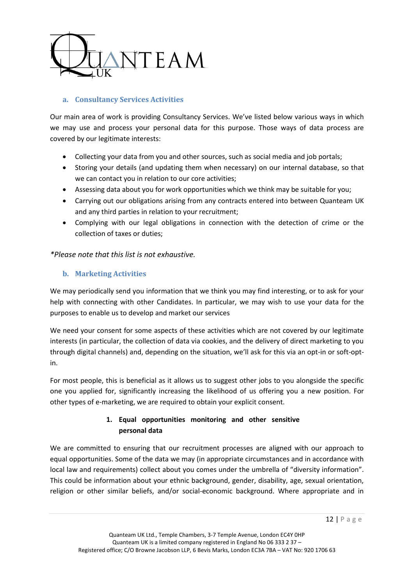

## <span id="page-11-0"></span>**a. Consultancy Services Activities**

Our main area of work is providing Consultancy Services. We've listed below various ways in which we may use and process your personal data for this purpose. Those ways of data process are covered by our legitimate interests:

- Collecting your data from you and other sources, such as social media and job portals;
- Storing your details (and updating them when necessary) on our internal database, so that we can contact you in relation to our core activities;
- Assessing data about you for work opportunities which we think may be suitable for you;
- Carrying out our obligations arising from any contracts entered into between Quanteam UK and any third parties in relation to your recruitment;
- Complying with our legal obligations in connection with the detection of crime or the collection of taxes or duties;

*\*Please note that this list is not exhaustive.*

## <span id="page-11-1"></span>**b. Marketing Activities**

We may periodically send you information that we think you may find interesting, or to ask for your help with connecting with other Candidates. In particular, we may wish to use your data for the purposes to enable us to develop and market our services

We need your consent for some aspects of these activities which are not covered by our legitimate interests (in particular, the collection of data via cookies, and the delivery of direct marketing to you through digital channels) and, depending on the situation, we'll ask for this via an opt-in or soft-optin.

For most people, this is beneficial as it allows us to suggest other jobs to you alongside the specific one you applied for, significantly increasing the likelihood of us offering you a new position. For other types of e-marketing, we are required to obtain your explicit consent.

## **1. Equal opportunities monitoring and other sensitive personal data**

<span id="page-11-2"></span>We are committed to ensuring that our recruitment processes are aligned with our approach to equal opportunities. Some of the data we may (in appropriate circumstances and in accordance with local law and requirements) collect about you comes under the umbrella of "diversity information". This could be information about your ethnic background, gender, disability, age, sexual orientation, religion or other similar beliefs, and/or social-economic background. Where appropriate and in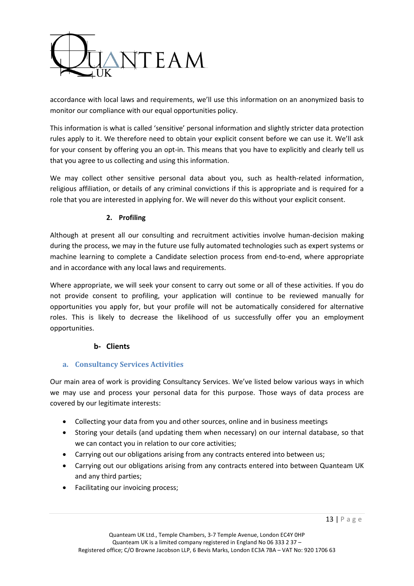

accordance with local laws and requirements, we'll use this information on an anonymized basis to monitor our compliance with our equal opportunities policy.

This information is what is called 'sensitive' personal information and slightly stricter data protection rules apply to it. We therefore need to obtain your explicit consent before we can use it. We'll ask for your consent by offering you an opt-in. This means that you have to explicitly and clearly tell us that you agree to us collecting and using this information.

We may collect other sensitive personal data about you, such as health-related information, religious affiliation, or details of any criminal convictions if this is appropriate and is required for a role that you are interested in applying for. We will never do this without your explicit consent.

## **2. Profiling**

<span id="page-12-0"></span>Although at present all our consulting and recruitment activities involve human-decision making during the process, we may in the future use fully automated technologies such as expert systems or machine learning to complete a Candidate selection process from end-to-end, where appropriate and in accordance with any local laws and requirements.

Where appropriate, we will seek your consent to carry out some or all of these activities. If you do not provide consent to profiling, your application will continue to be reviewed manually for opportunities you apply for, but your profile will not be automatically considered for alternative roles. This is likely to decrease the likelihood of us successfully offer you an employment opportunities.

## **b- Clients**

## <span id="page-12-2"></span><span id="page-12-1"></span>**a. Consultancy Services Activities**

Our main area of work is providing Consultancy Services. We've listed below various ways in which we may use and process your personal data for this purpose. Those ways of data process are covered by our legitimate interests:

- Collecting your data from you and other sources, online and in business meetings
- Storing your details (and updating them when necessary) on our internal database, so that we can contact you in relation to our core activities;
- Carrying out our obligations arising from any contracts entered into between us;
- Carrying out our obligations arising from any contracts entered into between Quanteam UK and any third parties;
- Facilitating our invoicing process;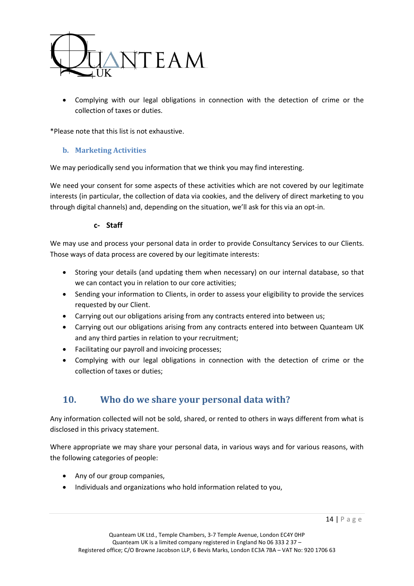

 Complying with our legal obligations in connection with the detection of crime or the collection of taxes or duties.

\*Please note that this list is not exhaustive.

#### <span id="page-13-0"></span>**b. Marketing Activities**

We may periodically send you information that we think you may find interesting.

We need your consent for some aspects of these activities which are not covered by our legitimate interests (in particular, the collection of data via cookies, and the delivery of direct marketing to you through digital channels) and, depending on the situation, we'll ask for this via an opt-in.

#### **c- Staff**

<span id="page-13-1"></span>We may use and process your personal data in order to provide Consultancy Services to our Clients. Those ways of data process are covered by our legitimate interests:

- Storing your details (and updating them when necessary) on our internal database, so that we can contact you in relation to our core activities;
- Sending your information to Clients, in order to assess your eligibility to provide the services requested by our Client.
- Carrying out our obligations arising from any contracts entered into between us;
- Carrying out our obligations arising from any contracts entered into between Quanteam UK and any third parties in relation to your recruitment;
- Facilitating our payroll and invoicing processes;
- Complying with our legal obligations in connection with the detection of crime or the collection of taxes or duties;

## <span id="page-13-2"></span>**10. Who do we share your personal data with?**

Any information collected will not be sold, shared, or rented to others in ways different from what is disclosed in this privacy statement.

Where appropriate we may share your personal data, in various ways and for various reasons, with the following categories of people:

- Any of our group companies,
- Individuals and organizations who hold information related to you,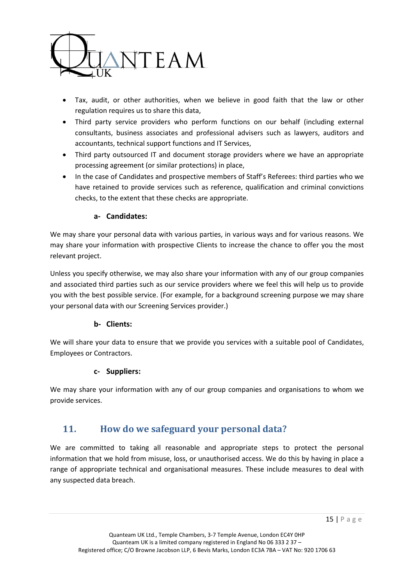

- Tax, audit, or other authorities, when we believe in good faith that the law or other regulation requires us to share this data,
- Third party service providers who perform functions on our behalf (including external consultants, business associates and professional advisers such as lawyers, auditors and accountants, technical support functions and IT Services,
- Third party outsourced IT and document storage providers where we have an appropriate processing agreement (or similar protections) in place,
- In the case of Candidates and prospective members of Staff's Referees: third parties who we have retained to provide services such as reference, qualification and criminal convictions checks, to the extent that these checks are appropriate.

## **a- Candidates:**

<span id="page-14-0"></span>We may share your personal data with various parties, in various ways and for various reasons. We may share your information with prospective Clients to increase the chance to offer you the most relevant project.

Unless you specify otherwise, we may also share your information with any of our group companies and associated third parties such as our service providers where we feel this will help us to provide you with the best possible service. (For example, for a background screening purpose we may share your personal data with our Screening Services provider.)

## **b- Clients:**

<span id="page-14-1"></span>We will share your data to ensure that we provide you services with a suitable pool of Candidates, Employees or Contractors.

## **c- Suppliers:**

<span id="page-14-2"></span>We may share your information with any of our group companies and organisations to whom we provide services.

# <span id="page-14-3"></span>**11. How do we safeguard your personal data?**

We are committed to taking all reasonable and appropriate steps to protect the personal information that we hold from misuse, loss, or unauthorised access. We do this by having in place a range of appropriate technical and organisational measures. These include measures to deal with any suspected data breach.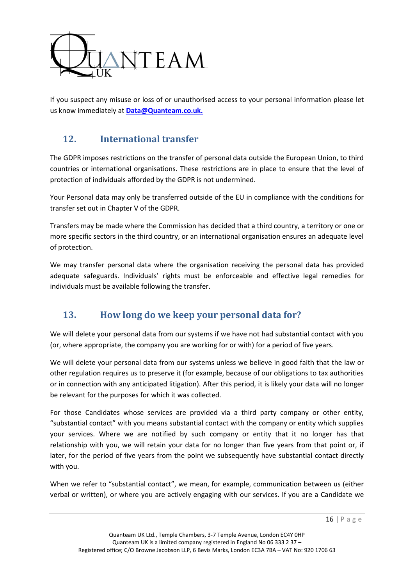

If you suspect any misuse or loss of or unauthorised access to your personal information please let us know immediately at **[Data@Quanteam.co.uk.](mailto:Data@Quanteam.co.uk)**

# <span id="page-15-0"></span>**12. International transfer**

The GDPR imposes restrictions on the transfer of personal data outside the European Union, to third countries or international organisations. These restrictions are in place to ensure that the level of protection of individuals afforded by the GDPR is not undermined.

Your Personal data may only be transferred outside of the EU in compliance with the conditions for transfer set out in Chapter V of the GDPR.

Transfers may be made where the Commission has decided that a third country, a territory or one or more specific sectors in the third country, or an international organisation ensures an adequate level of protection.

We may transfer personal data where the organisation receiving the personal data has provided adequate safeguards. Individuals' rights must be enforceable and effective legal remedies for individuals must be available following the transfer.

# <span id="page-15-1"></span>**13. How long do we keep your personal data for?**

We will delete your personal data from our systems if we have not had substantial contact with you (or, where appropriate, the company you are working for or with) for a period of five years.

We will delete your personal data from our systems unless we believe in good faith that the law or other regulation requires us to preserve it (for example, because of our obligations to tax authorities or in connection with any anticipated litigation). After this period, it is likely your data will no longer be relevant for the purposes for which it was collected.

For those Candidates whose services are provided via a third party company or other entity, "substantial contact" with you means substantial contact with the company or entity which supplies your services. Where we are notified by such company or entity that it no longer has that relationship with you, we will retain your data for no longer than five years from that point or, if later, for the period of five years from the point we subsequently have substantial contact directly with you.

When we refer to "substantial contact", we mean, for example, communication between us (either verbal or written), or where you are actively engaging with our services. If you are a Candidate we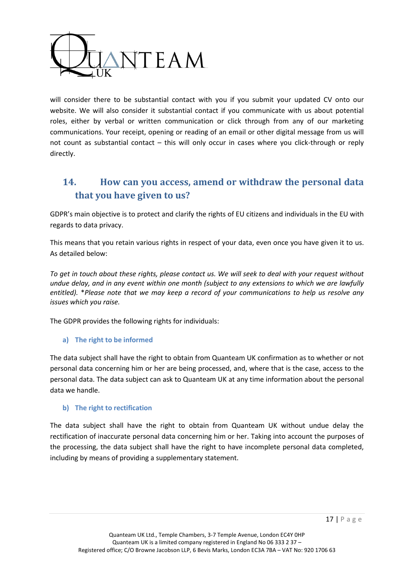

will consider there to be substantial contact with you if you submit your updated CV onto our website. We will also consider it substantial contact if you communicate with us about potential roles, either by verbal or written communication or click through from any of our marketing communications. Your receipt, opening or reading of an email or other digital message from us will not count as substantial contact – this will only occur in cases where you click-through or reply directly.

# <span id="page-16-0"></span>**14. How can you access, amend or withdraw the personal data that you have given to us?**

GDPR's main objective is to protect and clarify the rights of EU citizens and individuals in the EU with regards to data privacy.

This means that you retain various rights in respect of your data, even once you have given it to us. As detailed below:

*To get in touch about these rights, please contact us. We will seek to deal with your request without undue delay, and in any event within one month (subject to any extensions to which we are lawfully entitled).* \**Please note that we may keep a record of your communications to help us resolve any issues which you raise.*

The GDPR provides the following rights for individuals:

## <span id="page-16-1"></span>**a) The right to be informed**

The data subject shall have the right to obtain from Quanteam UK confirmation as to whether or not personal data concerning him or her are being processed, and, where that is the case, access to the personal data. The data subject can ask to Quanteam UK at any time information about the personal data we handle.

#### <span id="page-16-2"></span>**b) The right to rectification**

The data subject shall have the right to obtain from Quanteam UK without undue delay the rectification of inaccurate personal data concerning him or her. Taking into account the purposes of the processing, the data subject shall have the right to have incomplete personal data completed, including by means of providing a supplementary statement.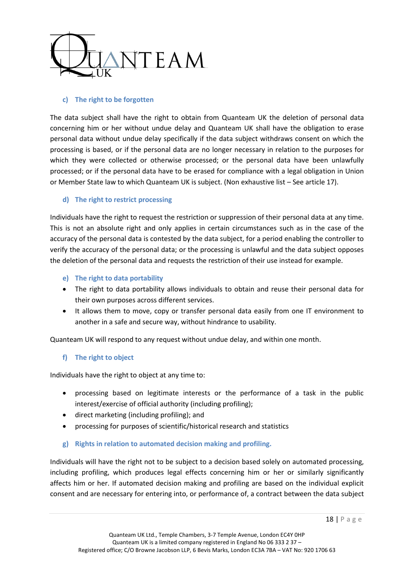

## <span id="page-17-0"></span>**c) The right to be forgotten**

The data subject shall have the right to obtain from Quanteam UK the deletion of personal data concerning him or her without undue delay and Quanteam UK shall have the obligation to erase personal data without undue delay specifically if the data subject withdraws consent on which the processing is based, or if the personal data are no longer necessary in relation to the purposes for which they were collected or otherwise processed; or the personal data have been unlawfully processed; or if the personal data have to be erased for compliance with a legal obligation in Union or Member State law to which Quanteam UK is subject. (Non exhaustive list – See article 17).

#### <span id="page-17-1"></span>**d) The right to restrict processing**

Individuals have the right to request the restriction or suppression of their personal data at any time. This is not an absolute right and only applies in certain circumstances such as in the case of the accuracy of the personal data is contested by the data subject, for a period enabling the controller to verify the accuracy of the personal data; or the processing is unlawful and the data subject opposes the deletion of the personal data and requests the restriction of their use instead for example.

- <span id="page-17-2"></span>**e) The right to data portability**
- The right to data portability allows individuals to obtain and reuse their personal data for their own purposes across different services.
- It allows them to move, copy or transfer personal data easily from one IT environment to another in a safe and secure way, without hindrance to usability.

Quanteam UK will respond to any request without undue delay, and within one month.

## <span id="page-17-3"></span>**f) The right to object**

Individuals have the right to object at any time to:

- processing based on legitimate interests or the performance of a task in the public interest/exercise of official authority (including profiling);
- direct marketing (including profiling); and
- processing for purposes of scientific/historical research and statistics
- <span id="page-17-4"></span>**g) Rights in relation to automated decision making and profiling.**

Individuals will have the right not to be subject to a decision based solely on automated processing, including profiling, which produces legal effects concerning him or her or similarly significantly affects him or her. If automated decision making and profiling are based on the individual explicit consent and are necessary for entering into, or performance of, a contract between the data subject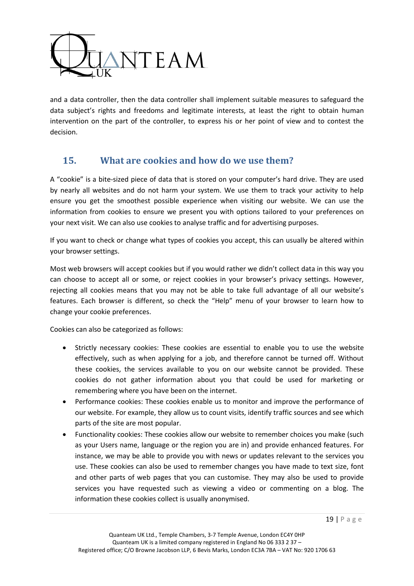

and a data controller, then the data controller shall implement suitable measures to safeguard the data subject's rights and freedoms and legitimate interests, at least the right to obtain human intervention on the part of the controller, to express his or her point of view and to contest the decision.

## <span id="page-18-0"></span>**15. What are cookies and how do we use them?**

A "cookie" is a bite-sized piece of data that is stored on your computer's hard drive. They are used by nearly all websites and do not harm your system. We use them to track your activity to help ensure you get the smoothest possible experience when visiting our website. We can use the information from cookies to ensure we present you with options tailored to your preferences on your next visit. We can also use cookies to analyse traffic and for advertising purposes.

If you want to check or change what types of cookies you accept, this can usually be altered within your browser settings.

Most web browsers will accept cookies but if you would rather we didn't collect data in this way you can choose to accept all or some, or reject cookies in your browser's privacy settings. However, rejecting all cookies means that you may not be able to take full advantage of all our website's features. Each browser is different, so check the "Help" menu of your browser to learn how to change your cookie preferences.

Cookies can also be categorized as follows:

- Strictly necessary cookies: These cookies are essential to enable you to use the website effectively, such as when applying for a job, and therefore cannot be turned off. Without these cookies, the services available to you on our website cannot be provided. These cookies do not gather information about you that could be used for marketing or remembering where you have been on the internet.
- Performance cookies: These cookies enable us to monitor and improve the performance of our website. For example, they allow us to count visits, identify traffic sources and see which parts of the site are most popular.
- Functionality cookies: These cookies allow our website to remember choices you make (such as your Users name, language or the region you are in) and provide enhanced features. For instance, we may be able to provide you with news or updates relevant to the services you use. These cookies can also be used to remember changes you have made to text size, font and other parts of web pages that you can customise. They may also be used to provide services you have requested such as viewing a video or commenting on a blog. The information these cookies collect is usually anonymised.